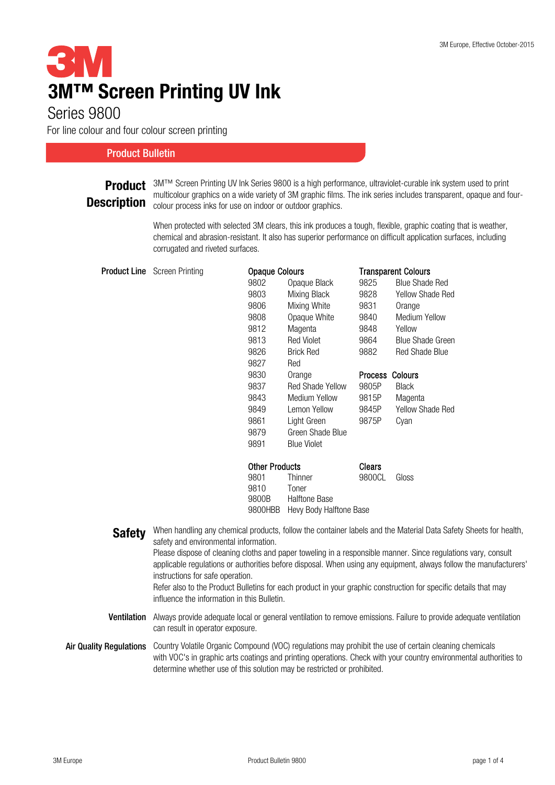# 6 : V **3M™ Screen Printing UV Ink**

## Series 9800

For line colour and four colour screen printing

#### Product Bulletin

## **Description**

**Product** 3M™ Screen Printing UV Ink Series 9800 is a high performance, ultraviolet-curable ink system used to print<br>
and the contract of the constitution of the printing CM product Class The interaction is the conservato multicolour graphics on a wide variety of 3M graphic films. The ink series includes transparent, opaque and fourcolour process inks for use on indoor or outdoor graphics.

> When protected with selected 3M clears, this ink produces a tough, flexible, graphic coating that is weather, chemical and abrasion-resistant. It also has superior performance on difficult application surfaces, including corrugated and riveted surfaces.

| <b>Product Line</b> Screen Printing | <b>Opaque Colours</b> |                      | <b>Transparent Colours</b> |                         |
|-------------------------------------|-----------------------|----------------------|----------------------------|-------------------------|
|                                     | 9802                  | Opaque Black         | 9825                       | <b>Blue Shade Red</b>   |
|                                     | 9803                  | Mixing Black         | 9828                       | <b>Yellow Shade Red</b> |
|                                     | 9806                  | Mixing White         | 9831                       | Orange                  |
|                                     | 9808                  | Opaque White         | 9840                       | <b>Medium Yellow</b>    |
|                                     | 9812                  | Magenta              | 9848                       | Yellow                  |
|                                     | 9813                  | Red Violet           | 9864                       | <b>Blue Shade Green</b> |
|                                     | 9826                  | <b>Brick Red</b>     | 9882                       | <b>Red Shade Blue</b>   |
|                                     | 9827                  | Red                  |                            |                         |
|                                     | 9830                  | Orange               | Process Colours            |                         |
|                                     | 9837                  | Red Shade Yellow     | 9805P                      | <b>Black</b>            |
|                                     | 9843                  | <b>Medium Yellow</b> | 9815P                      | Magenta                 |
|                                     | 9849                  | Lemon Yellow         | 9845P                      | <b>Yellow Shade Red</b> |
|                                     | 9861                  | Light Green          | 9875P                      | Cyan                    |
|                                     | 9879                  | Green Shade Blue     |                            |                         |
|                                     | 9891                  | <b>Blue Violet</b>   |                            |                         |
|                                     | <b>Other Products</b> |                      | <b>Clears</b>              |                         |
|                                     | 9801                  | Thinner              | 9800CL                     | Gloss                   |
|                                     | 9810                  | Toner                |                            |                         |

9800B

Safety Ventilation Always provide adequate local or general ventilation to remove emissions. Failure to provide adequate ventilation Air Quality Regulations Country Volatile Organic Compound (VOC) regulations may prohibit the use of certain cleaning chemicals can result in operator exposure. When handling any chemical products, follow the container labels and the Material Data Safety Sheets for health, safety and environmental information. Please dispose of cleaning cloths and paper toweling in a responsible manner. Since regulations vary, consult applicable regulations or authorities before disposal. When using any equipment, always follow the manufacturers' instructions for safe operation. Refer also to the Product Bulletins for each product in your graphic construction for specific details that may influence the information in this Bulletin.

9800HBB Hevy Body Halftone Base

Halftone Base

with VOC's in graphic arts coatings and printing operations. Check with your country environmental authorities to determine whether use of this solution may be restricted or prohibited.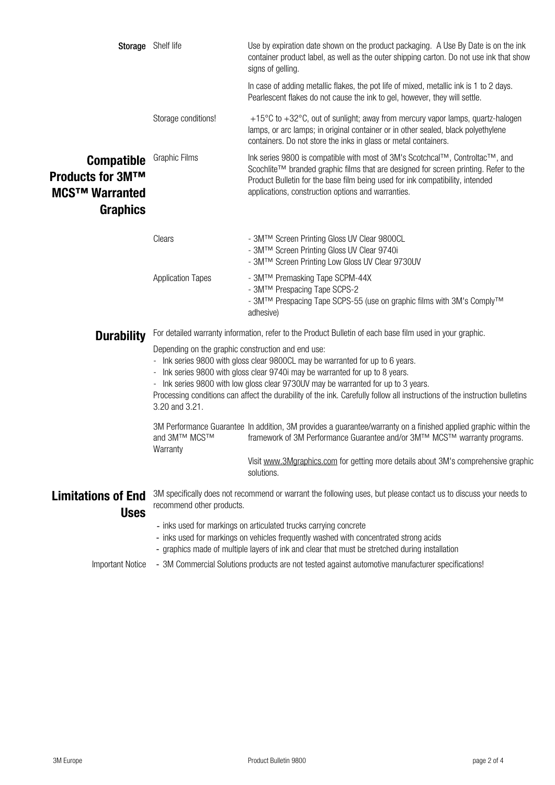|                                                                                                     | Storage Shelf life                                                                                                                                                                                                                                                                                                                                                                                                                                       | Use by expiration date shown on the product packaging. A Use By Date is on the ink<br>container product label, as well as the outer shipping carton. Do not use ink that show<br>signs of gelling.                                                                                                          |  |  |
|-----------------------------------------------------------------------------------------------------|----------------------------------------------------------------------------------------------------------------------------------------------------------------------------------------------------------------------------------------------------------------------------------------------------------------------------------------------------------------------------------------------------------------------------------------------------------|-------------------------------------------------------------------------------------------------------------------------------------------------------------------------------------------------------------------------------------------------------------------------------------------------------------|--|--|
|                                                                                                     |                                                                                                                                                                                                                                                                                                                                                                                                                                                          | In case of adding metallic flakes, the pot life of mixed, metallic ink is 1 to 2 days.<br>Pearlescent flakes do not cause the ink to gel, however, they will settle.                                                                                                                                        |  |  |
|                                                                                                     | Storage conditions!                                                                                                                                                                                                                                                                                                                                                                                                                                      | +15°C to +32°C, out of sunlight; away from mercury vapor lamps, quartz-halogen<br>lamps, or arc lamps; in original container or in other sealed, black polyethylene<br>containers. Do not store the inks in glass or metal containers.                                                                      |  |  |
| <b>Compatible</b><br><b>Products for 3M™</b><br><b>MCS<sup>™</sup> Warranted</b><br><b>Graphics</b> | <b>Graphic Films</b>                                                                                                                                                                                                                                                                                                                                                                                                                                     | Ink series 9800 is compatible with most of 3M's Scotchcal™, Controltac™, and<br>Scochlite™ branded graphic films that are designed for screen printing. Refer to the<br>Product Bulletin for the base film being used for ink compatibility, intended<br>applications, construction options and warranties. |  |  |
|                                                                                                     | Clears                                                                                                                                                                                                                                                                                                                                                                                                                                                   | - 3M™ Screen Printing Gloss UV Clear 9800CL<br>- 3M™ Screen Printing Gloss UV Clear 9740i<br>- 3M™ Screen Printing Low Gloss UV Clear 9730UV                                                                                                                                                                |  |  |
|                                                                                                     | <b>Application Tapes</b>                                                                                                                                                                                                                                                                                                                                                                                                                                 | - 3M™ Premasking Tape SCPM-44X<br>- 3M™ Prespacing Tape SCPS-2<br>- 3M™ Prespacing Tape SCPS-55 (use on graphic films with 3M's Comply™<br>adhesive)                                                                                                                                                        |  |  |
| <b>Durability</b>                                                                                   | For detailed warranty information, refer to the Product Bulletin of each base film used in your graphic.                                                                                                                                                                                                                                                                                                                                                 |                                                                                                                                                                                                                                                                                                             |  |  |
|                                                                                                     | Depending on the graphic construction and end use:<br>- Ink series 9800 with gloss clear 9800CL may be warranted for up to 6 years.<br>- Ink series 9800 with gloss clear 9740i may be warranted for up to 8 years.<br>- Ink series 9800 with low gloss clear 9730UV may be warranted for up to 3 years.<br>Processing conditions can affect the durability of the ink. Carefully follow all instructions of the instruction bulletins<br>3.20 and 3.21. |                                                                                                                                                                                                                                                                                                             |  |  |
|                                                                                                     | and 3M™ MCS™<br>Warranty                                                                                                                                                                                                                                                                                                                                                                                                                                 | 3M Performance Guarantee In addition, 3M provides a guarantee/warranty on a finished applied graphic within the<br>framework of 3M Performance Guarantee and/or 3M™ MCS™ warranty programs.                                                                                                                 |  |  |
|                                                                                                     |                                                                                                                                                                                                                                                                                                                                                                                                                                                          | Visit www.3Mgraphics.com for getting more details about 3M's comprehensive graphic<br>solutions.                                                                                                                                                                                                            |  |  |
| <b>Limitations of End</b><br><b>Uses</b>                                                            | 3M specifically does not recommend or warrant the following uses, but please contact us to discuss your needs to<br>recommend other products.                                                                                                                                                                                                                                                                                                            |                                                                                                                                                                                                                                                                                                             |  |  |
|                                                                                                     | - inks used for markings on articulated trucks carrying concrete<br>- inks used for markings on vehicles frequently washed with concentrated strong acids<br>- graphics made of multiple layers of ink and clear that must be stretched during installation                                                                                                                                                                                              |                                                                                                                                                                                                                                                                                                             |  |  |
| <b>Important Notice</b>                                                                             | - 3M Commercial Solutions products are not tested against automotive manufacturer specifications!                                                                                                                                                                                                                                                                                                                                                        |                                                                                                                                                                                                                                                                                                             |  |  |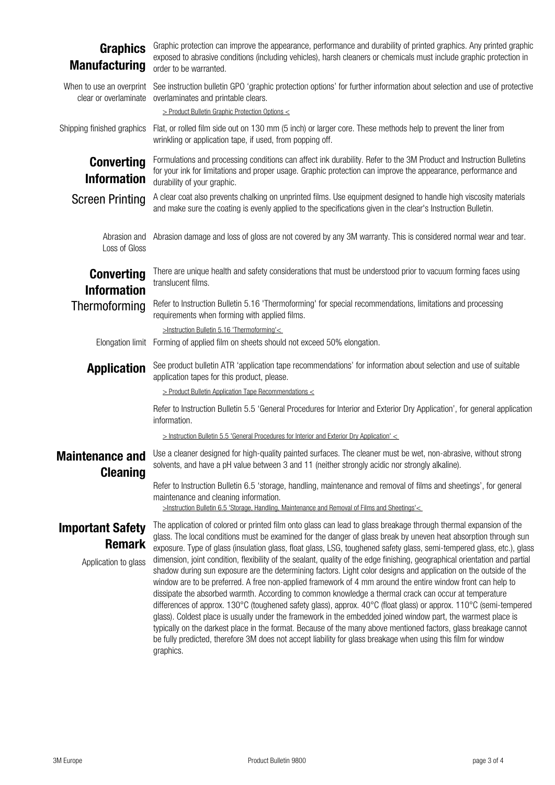### **Graphics** Manufacturing

Graphic protection can improve the appearance, performance and durability of printed graphics. Any printed graphic exposed to abrasive conditions (including vehicles), harsh cleaners or chemicals must include graphic protection in order to be warranted.

When to use an overprint clear or overlaminate overlaminates and printable clears. Shipping finished graphics **Converting** Information Screen Printing Abrasion and Loss of Gloss **Converting** Information Thermoforming Elongation limit Application [> Instruction Bulletin 5.5 'General Procedures for Interior and Exterior Dry Application' <](http://multimedia.3m.com/mws/media/1002230O/instruction-bulletin-5-5.pdf)  Maintenance and Cleaning Important Safety Remark Application to glass Use a cleaner designed for high-quality painted surfaces. The cleaner must be wet, non-abrasive, without strong solvents, and have a pH value between 3 and 11 (neither strongly acidic nor strongly alkaline). Refer to Instruction Bulletin 6.5 'storage, handling, maintenance and removal of films and sheetings', for general maintenance and cleaning information. [>Instruction Bulletin 6.5 'Storage, Handling, Maintenance and Removal of Films and Sheetings'<](http://multimedia.3m.com/mws/media/986574O/instruction-bulletin-6-5.pdf)  Refer to Instruction Bulletin 5.16 'Thermoforming' for special recommendations, limitations and processing requirements when forming with applied films. >Instruction Bulletin 5.16 'Thermoforming'< Forming of applied film on sheets should not exceed 50% elongation. See product bulletin ATR 'application tape recommendations' for information about selection and use of suitable application tapes for this product, please. [> Product Bulletin Application Tape Recommendations <](http://multimedia.3m.com/mws/mediawebserver?mwsId=kkkkkmN6cwZLdp4MGQ4wdQzYYON3YwN69OlkYOlkYkkkkkk--) Refer to Instruction Bulletin 5.5 'General Procedures for Interior and Exterior Dry Application', for general application information. The application of colored or printed film onto glass can lead to glass breakage through thermal expansion of the glass. The local conditions must be examined for the danger of glass break by uneven heat absorption through sun exposure. Type of glass (insulation glass, float glass, LSG, toughened safety glass, semi-tempered glass, etc.), glass dimension, joint condition, flexibility of the sealant, quality of the edge finishing, geographical orientation and partial shadow during sun exposure are the determining factors. Light color designs and application on the outside of the window are to be preferred. A free non-applied framework of 4 mm around the entire window front can help to dissipate the absorbed warmth. According to common knowledge a thermal crack can occur at temperature differences of approx. 130°C (toughened safety glass), approx. 40°C (float glass) or approx. 110°C (semi-tempered glass). Coldest place is usually under the framework in the embedded joined window part, the warmest place is typically on the darkest place in the format. Because of the many above mentioned factors, glass breakage cannot be fully predicted, therefore 3M does not accept liability for glass breakage when using this film for window Abrasion damage and loss of gloss are not covered by any 3M warranty. This is considered normal wear and tear. Formulations and processing conditions can affect ink durability. Refer to the 3M Product and Instruction Bulletins for your ink for limitations and proper usage. Graphic protection can improve the appearance, performance and durability of your graphic. A clear coat also prevents chalking on unprinted films. Use equipment designed to handle high viscosity materials and make sure the coating is evenly applied to the specifications given in the clear's Instruction Bulletin. There are unique health and safety considerations that must be understood prior to vacuum forming faces using translucent films. See instruction bulletin GPO 'graphic protection options' for further information about selection and use of protective [> Product Bulletin Graphic Protection Options <](http://multimedia.3m.com/mws/mediawebserver?mwsId=SSSSSufSevTsZxtUO82xPY_1evUqevTSevTSevTSeSSSSSS--) Flat, or rolled film side out on 130 mm (5 inch) or larger core. These methods help to prevent the liner from wrinkling or application tape, if used, from popping off.

graphics.